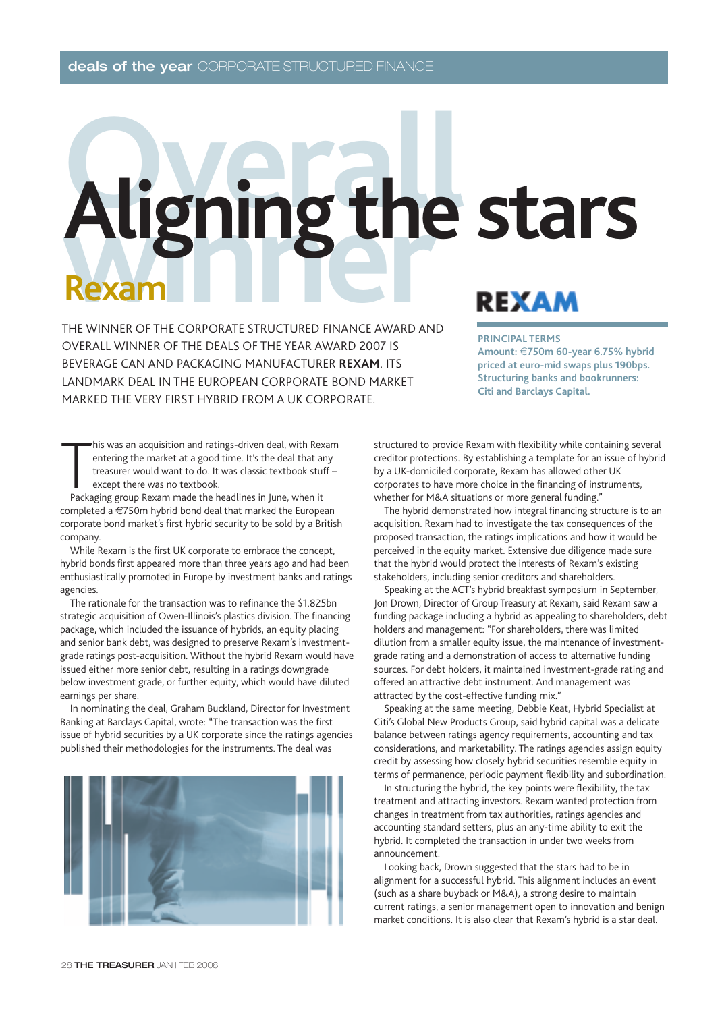# **Opening the stars Rexam**

THE WINNER OF THE CORPORATE STRUCTURED FINANCE AWARD AND OVERALL WINNER OF THE DEALS OF THE YEAR AWARD 2007 IS BEVERAGE CAN AND PACKAGING MANUFACTURER **REXAM**. ITS LANDMARK DEAL IN THE EUROPEAN CORPORATE BOND MARKET MARKED THE VERY FIRST HYBRID FROM A UK CORPORATE.

#### **PRINCIPAL TERMS**

**Amount:** €**750m 60-year 6.75% hybrid priced at euro-mid swaps plus 190bps. Structuring banks and bookrunners: Citi and Barclays Capital.** 

This was an acquisition and ratings-driven deal, with Reventering the market at a good time. It's the deal that a treasurer would want to do. It was classic textbook stu except there was no textbook.<br>Packaging group Rexam his was an acquisition and ratings-driven deal, with Rexam entering the market at a good time. It's the deal that any treasurer would want to do. It was classic textbook stuff – except there was no textbook.

completed a €750m hybrid bond deal that marked the European corporate bond market's first hybrid security to be sold by a British company.

While Rexam is the first UK corporate to embrace the concept, hybrid bonds first appeared more than three years ago and had been enthusiastically promoted in Europe by investment banks and ratings agencies.

The rationale for the transaction was to refinance the \$1.825bn strategic acquisition of Owen-Illinois's plastics division. The financing package, which included the issuance of hybrids, an equity placing and senior bank debt, was designed to preserve Rexam's investmentgrade ratings post-acquisition. Without the hybrid Rexam would have issued either more senior debt, resulting in a ratings downgrade below investment grade, or further equity, which would have diluted earnings per share.

In nominating the deal, Graham Buckland, Director for Investment Banking at Barclays Capital, wrote: "The transaction was the first issue of hybrid securities by a UK corporate since the ratings agencies published their methodologies for the instruments. The deal was



structured to provide Rexam with flexibility while containing several creditor protections. By establishing a template for an issue of hybrid by a UK-domiciled corporate, Rexam has allowed other UK corporates to have more choice in the financing of instruments, whether for M&A situations or more general funding."

The hybrid demonstrated how integral financing structure is to an acquisition. Rexam had to investigate the tax consequences of the proposed transaction, the ratings implications and how it would be perceived in the equity market. Extensive due diligence made sure that the hybrid would protect the interests of Rexam's existing stakeholders, including senior creditors and shareholders.

Speaking at the ACT's hybrid breakfast symposium in September, Jon Drown, Director of Group Treasury at Rexam, said Rexam saw a funding package including a hybrid as appealing to shareholders, debt holders and management: "For shareholders, there was limited dilution from a smaller equity issue, the maintenance of investmentgrade rating and a demonstration of access to alternative funding sources. For debt holders, it maintained investment-grade rating and offered an attractive debt instrument. And management was attracted by the cost-effective funding mix."

Speaking at the same meeting, Debbie Keat, Hybrid Specialist at Citi's Global New Products Group, said hybrid capital was a delicate balance between ratings agency requirements, accounting and tax considerations, and marketability. The ratings agencies assign equity credit by assessing how closely hybrid securities resemble equity in terms of permanence, periodic payment flexibility and subordination.

In structuring the hybrid, the key points were flexibility, the tax treatment and attracting investors. Rexam wanted protection from changes in treatment from tax authorities, ratings agencies and accounting standard setters, plus an any-time ability to exit the hybrid. It completed the transaction in under two weeks from announcement.

Looking back, Drown suggested that the stars had to be in alignment for a successful hybrid. This alignment includes an event (such as a share buyback or M&A), a strong desire to maintain current ratings, a senior management open to innovation and benign market conditions. It is also clear that Rexam's hybrid is a star deal.